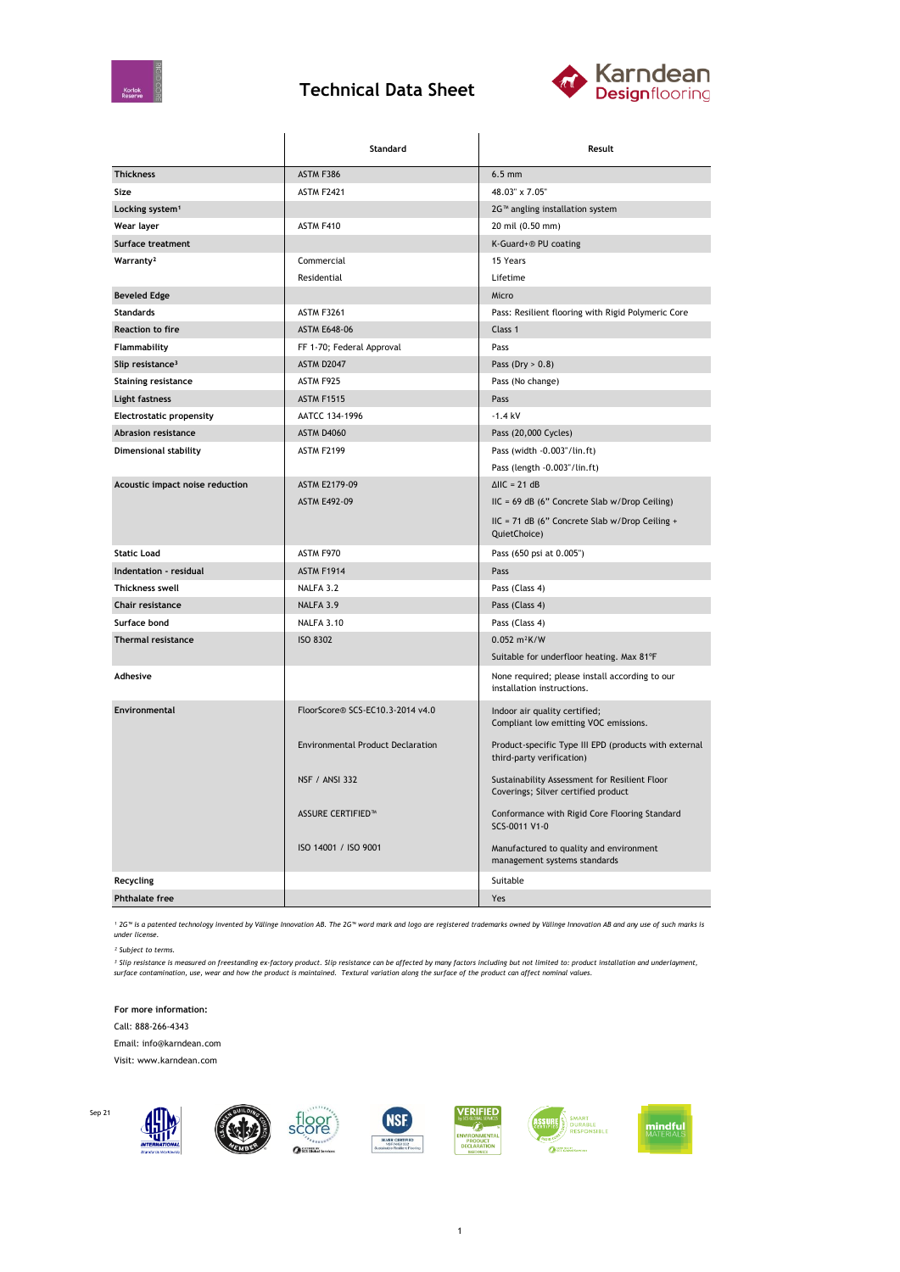

## **Technical Data Sheet**



|                                 | Standard                                 | Result                                                                               |  |
|---------------------------------|------------------------------------------|--------------------------------------------------------------------------------------|--|
| <b>Thickness</b>                | ASTM F386                                | $6.5$ mm                                                                             |  |
| Size                            | <b>ASTM F2421</b>                        | 48.03" x 7.05"                                                                       |  |
| Locking system <sup>1</sup>     |                                          | 2G <sup>™</sup> angling installation system                                          |  |
| Wear layer                      | ASTM F410                                | 20 mil (0.50 mm)                                                                     |  |
| Surface treatment               |                                          | K-Guard+® PU coating                                                                 |  |
| Warranty <sup>2</sup>           | Commercial                               | 15 Years                                                                             |  |
|                                 | Residential                              | Lifetime                                                                             |  |
| <b>Beveled Edge</b>             |                                          | Micro                                                                                |  |
| Standards                       | <b>ASTM F3261</b>                        | Pass: Resilient flooring with Rigid Polymeric Core                                   |  |
| <b>Reaction to fire</b>         | <b>ASTM E648-06</b>                      | Class 1                                                                              |  |
| Flammability                    | FF 1-70; Federal Approval                | Pass                                                                                 |  |
| Slip resistance <sup>3</sup>    | <b>ASTM D2047</b>                        | Pass (Dry $> 0.8$ )                                                                  |  |
| <b>Staining resistance</b>      | ASTM F925                                | Pass (No change)                                                                     |  |
| Light fastness                  | <b>ASTM F1515</b>                        | Pass                                                                                 |  |
| <b>Electrostatic propensity</b> | AATCC 134-1996                           | $-1.4$ kV                                                                            |  |
| Abrasion resistance             | <b>ASTM D4060</b>                        | Pass (20,000 Cycles)                                                                 |  |
| Dimensional stability           | ASTM F2199                               | Pass (width -0.003"/lin.ft)                                                          |  |
|                                 |                                          | Pass (length -0.003"/lin.ft)                                                         |  |
| Acoustic impact noise reduction | ASTM E2179-09                            | $\triangle$ IIC = 21 dB                                                              |  |
|                                 | <b>ASTM E492-09</b>                      | IIC = 69 dB (6" Concrete Slab w/Drop Ceiling)                                        |  |
|                                 |                                          | IIC = 71 dB (6" Concrete Slab w/Drop Ceiling +<br>QuietChoice)                       |  |
| <b>Static Load</b>              | ASTM F970                                | Pass (650 psi at 0.005")                                                             |  |
| Indentation - residual          | <b>ASTM F1914</b>                        | Pass                                                                                 |  |
| <b>Thickness swell</b>          | NALFA 3.2                                | Pass (Class 4)                                                                       |  |
| Chair resistance                | NALFA 3.9                                | Pass (Class 4)                                                                       |  |
| Surface bond                    | NALFA 3.10                               | Pass (Class 4)                                                                       |  |
| <b>Thermal resistance</b>       | <b>ISO 8302</b>                          | 0.052 m <sup>2</sup> K/W                                                             |  |
|                                 |                                          | Suitable for underfloor heating. Max 81°F                                            |  |
| Adhesive                        |                                          | None required; please install according to our<br>installation instructions.         |  |
| Environmental                   | FloorScore® SCS-EC10.3-2014 v4.0         | Indoor air quality certified;<br>Compliant low emitting VOC emissions.               |  |
|                                 | <b>Environmental Product Declaration</b> | Product-specific Type III EPD (products with external<br>third-party verification)   |  |
|                                 | <b>NSF / ANSI 332</b>                    | Sustainability Assessment for Resilient Floor<br>Coverings; Silver certified product |  |
|                                 | <b>ASSURE CERTIFIED™</b>                 | Conformance with Rigid Core Flooring Standard<br>SCS-0011 V1-0                       |  |
|                                 | ISO 14001 / ISO 9001                     | Manufactured to quality and environment<br>management systems standards              |  |
| Recycling                       |                                          | Suitable                                                                             |  |
| <b>Phthalate free</b>           |                                          | Yes                                                                                  |  |

*¹ 2G™ is a patented technology invented by Välinge Innovation AB. The 2G™ word mark and logo are registered trademarks owned by Välinge Innovation AB and any use of such marks is under license.*

*² Subject to terms.*

<sup>3</sup> Slip resistance is measured on freestanding ex-factory product. Slip resistance can be affected by many factors including but not limited to: product installation and underlayment,<br>surface contamination, use, wear and

**For more information:** Call: 888-266-4343 Email: info@karndean.com

Visit: www.karndean.com